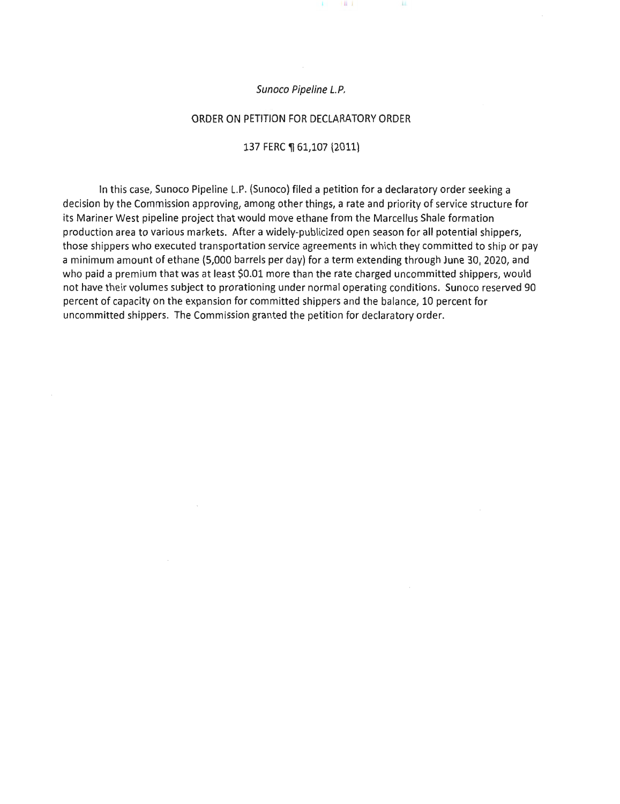#### Sunoco Pipeline L.P.

#### ORDER ON PETITION FOR DECLARATORY ORDER

#### 137 FERC ¶ 61,107 (2011)

In this case, Sunoco Pipeline L.P. (Sunoco) filed a petition for a declaratory order seeking a decision by the Commission approving, among other things, a rate and priority of service structure for its Mariner West pipeline project that would move ethane from the Marcellus Shale formation production area to various markets. After a widely-publicized open season for all potential shippers, those shippers who executed transportation service agreements in which they committed to ship or pay a minimum amount of ethane (5,000 barrels per day) for a term extending through June 30, 2020, and who paid a premium that was at least \$0.01 more than the rate charged uncommitted shippers, would not have their volumes subject to prorationing under normal operating conditions. Sunoco reserved 90 percent of capacity on the expansion for committed shippers and the balance, 10 percent for uncommitted shippers. The Commission granted the petition for declaratory order.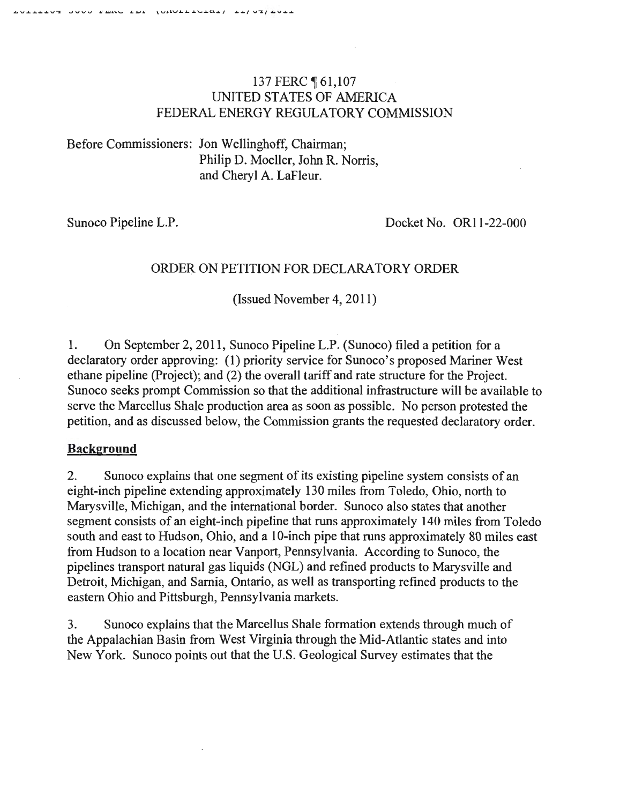## 137 FERC ¶ 61,107 UNITED STATES OF AMERICA FEDERAL ENERGY REGULATORY COMMISSION

Before Commissioners: Jon Wellinghoff, Chairman; Philip D. Moeller, John R. Norris, and Cheryl A. LaFleur.

Sunoco Pipeline L.P.<br>Docket No. OR11-22-000

# ORDER ON PETITION FOR DECLARATORY ORDER

(Issued November 4, 2011)

1. On September 2, 2011, Sunoco Pipeline L.P. (Sunoco) filed a petition for a declaratory order approving: (1) priority service for Sunoco's proposed Mariner West ethane pipeline (Project); and (2) the overall tariff and rate structure for the Project. Sunoco seeks prompt Commission so that the additional infrastructure will be available to serve the Marcellus Shale production area as soon as possible. No person protested the petition, and as discussed below, the Commission grants the requested declaratory order.

### **Background**

2. Sunoco explains that one segment of its existing pipeline system consists of an eight-inch pipeline extending approximately 130 miles from Toledo, Ohio, north to Marysville, Michigan, and the international border. Sunoco also states that another segment consists of an eight-inch pipeline that runs approximately 140 miles from Toledo south and east to Hudson, Ohio, and a 10-inch pipe that runs approximately 80 miles east from Hudson to a location near Vanport, Pennsylvania. According to Sunoco, the pipelines transport natural gas liquids (NGL) and refined products to Marysville and Detroit, Michigan, and Sarnia, Ontario, as well as transporting refined products to the eastern Ohio and Pittsburgh, Pennsylvania markets.

3. Sunoco explains that the Marcellus Shale formation extends through much of the Appalachian Basin from West Virginia through the Mid-Atlantic states and into New York. Sunoco points out that the U.S. Geological Survey estimates that the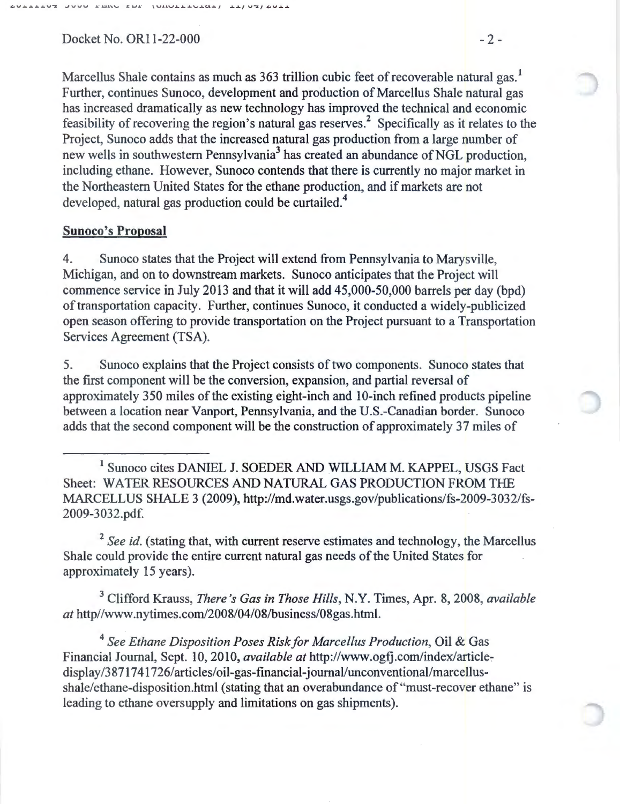Docket No. OR11-22-000 - 2 -

Marcellus Shale contains as much as 363 trillion cubic feet of recoverable natural gas.<sup>1</sup> Further, continues Sunoco, development and production of Marcellus Shale natural gas has increased dramatically as new technology has improved the technical and economic feasibility of recovering the region's natural gas reserves.<sup>2</sup> Specifically as it relates to the Project, Sunoco adds that the increased natural gas production from a large number of new wells in southwestern Pennsylvania<sup>3</sup> has created an abundance of NGL production, including ethane. However, Sunoco contends that there is currently no major market in the Northeastern United States for the ethane production, and if markets are not developed, natural gas production could be curtailed.<sup>4</sup>

#### Sunoco's Proposal

4. Sunoco states that the Project will extend from Pennsylvania to Marysville, Michigan, and on to downstream markets. Sunoco anticipates that the Project will commence service in July 2013 and that it will add 45,000-50,000 barrels per day (bpd) of transportation capacity. Further, continues Sunoco, it conducted a widely-publicized open season offering to provide transportation on the Project pursuant to a Transportation Services Agreement (TSA).

5. Sunoco explains that the Project consists of two components. Sunoco states that the first component will be the conversion, expansion, and partial reversal of approximately 350 miles of the existing eight-inch and 10-inch refined products pipeline between a location near Vanport, Pennsylvania, and the U.S.-Canadian border. Sunoco adds that the second component will be the construction of approximately 37 miles of

1 Sunoco cites DANIEL J. SOEDER AND WILLIAM M. KAPPEL, USGS Fact Sheet: WATER RESOURCES AND NATURAL GAS PRODUCTION FROM THE MARCELLUS SHALE 3 (2009), http://md.water.usgs.gov/publications/fs-2009-3032/fs-2009-3032.pdf.

<sup>2</sup> See id. (stating that, with current reserve estimates and technology, the Marcellus Shale could provide the entire current natural gas needs of the United States for approximately 15 years).

3 Clifford Krauss, *There's Gas in Those Hills,* N.Y. Times, Apr. 8, 2008, *available at* http//www.nytimes.com/2008/04/08/business/08gas.html.

<sup>4</sup>*See Ethane Disposition Poses Risk for Marcellus Production,* Oil & Gas Financial Journal, Sept. 10, 2010, *available at* http://www.ogfj.com/index/articledisplay/3871741726/articles/oil-gas-financial-journal/unconventional/marcellusshale/ethane-disposition.html (stating that an overabundance of "must-recover ethane" is leading to ethane oversupply and limitations on gas shipments).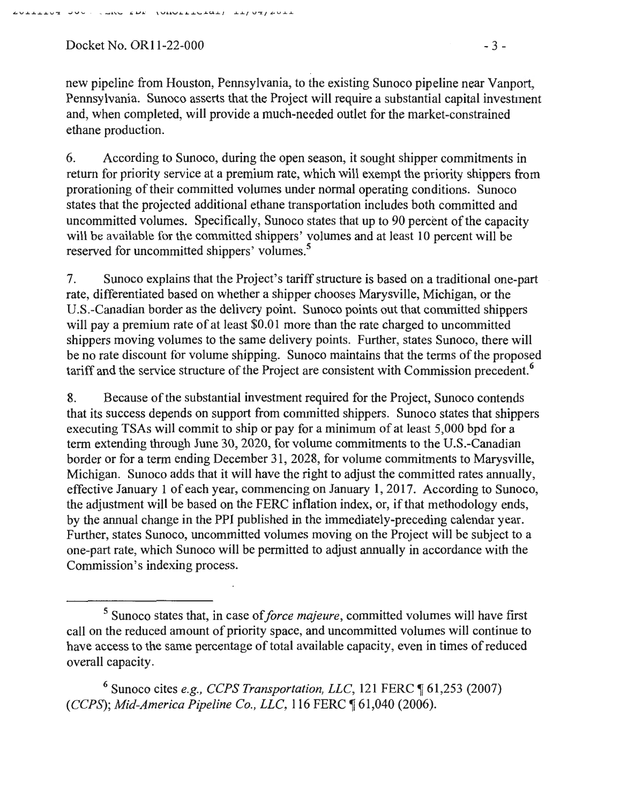Docket No. OR11-22-000 - 3 -

new pipeline from Houston, Pennsylvania, to the existing Sunoco pipeline near Vanport, Pennsylvania. Sunoco asserts that the Project will require a substantial capital investment and, when completed, will provide a much-needed outlet for the market-constrained ethane production.

6. According to Sunoco, during the open season, it sought shipper commitments in return for priority service at a premium rate, which will exempt the priority shippers from prorationing of their committed volumes under normal operating conditions. Sunoco states that the projected additional ethane transportation includes both committed and uncommitted volumes. Specifically, Sunoco states that up to 90 percent of the capacity will be available for the committed shippers' volumes and at least 10 percent will be reserved for uncommitted shippers' volumes.<sup>5</sup>

7. Sunoco explains that the Project's tariff structure is based on a traditional one-part rate, differentiated based on whether a shipper chooses Marysville, Michigan, or the U.S.-Canadian border as the delivery point. Sunoco points out that committed shippers will pay a premium rate of at least \$0.01 more than the rate charged to uncommitted shippers moving volumes to the same delivery points. Further, states Sunoco, there will be no rate discount for volume shipping. Sunoco maintains that the terms of the proposed tariff and the service structure of the Project are consistent with Commission precedent.<sup>6</sup>

8. Because of the substantial investment required for the Project, Sunoco contends that its success depends on support from committed shippers. Sunoco states that shippers executing TSAs will commit to ship or pay for a minimum of at least 5,000 bpd for a term extending through June 30, 2020, for volume commitments to the U.S.-Canadian border or for a term ending December 31, 2028, for volume commitments to Marysville, Michigan. Sunoco adds that it will have the right to adjust the committed rates annually, effective January 1 of each year, commencing on January 1, 2017. According to Sunoco, the adjustment will be based on the FERC inflation index, or, if that methodology ends, by the annual change in the PPI published in the immediately-preceding calendar year. Further, states Sunoco, uncommitted volumes moving on the Project will be subject to a one-part rate, which Sunoco will be permitted to adjust annually in accordance with the Commission's indexing process.

<sup>6</sup> Sunoco cites *e.g., CCPS Transportation, LLC*, 121 FERC ¶ 61,253 (2007) *(CCPS); Mid-America Pipeline Co., LLC, 116 FERC*  $$61,040$  (2006).

<sup>5</sup> Sunoco states that, in case of *force majeure,* committed volumes will have first call on the reduced amount of priority space, and uncommitted volumes will continue to have access to the same percentage of total available capacity, even in times of reduced overall capacity.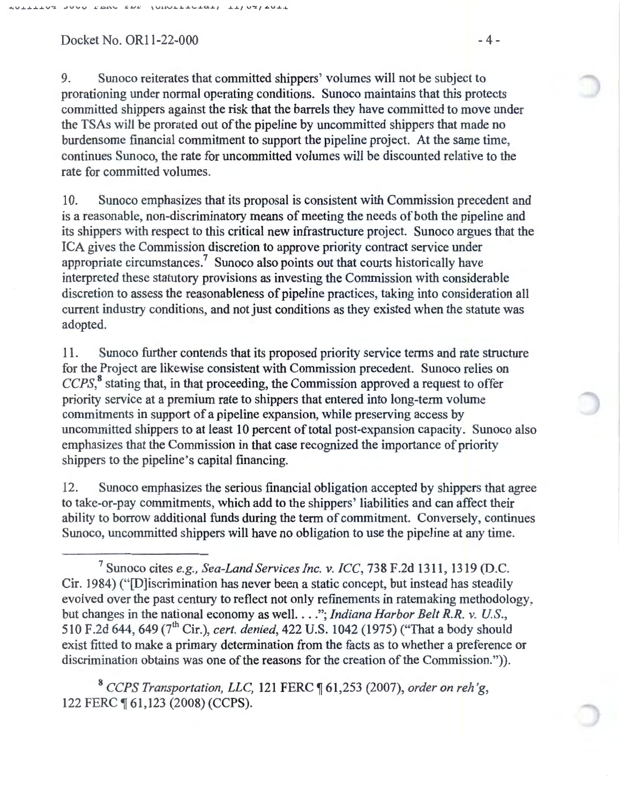### $Docket No. OR11-22-000$  - 4 -

9. Sunoco reiterates that committed shippers' volumes will not be subject to prorationing under normal operating conditions. Sunoco maintains that this protects committed shippers against the risk that the barrels they have committed to move under the TSAs will be prorated out of the pipeline by uncommitted shippers that made no burdensome financial commitment to support the pipeline project. At the same time, continues Sunoco, the rate for uncommitted volumes will be discounted relative to the rate for committed volumes.

10. Sunoco emphasizes that its proposal is consistent with Commission precedent and is a reasonable, non-discriminatory means of meeting the needs of both the pipeline and its shippers with respect to this critical new infrastructure project. Sunoco argues that the ICA gives the Commission discretion to approve priority contract service under appropriate circumstances.<sup>7</sup> Sunoco also points out that courts historically have interpreted these statutory provisions as investing the Commission with considerable discretion to assess the reasonableness of pipeline practices, taking into consideration all current industry conditions, and not just conditions as they existed when the statute was adopted.

11. Sunoco further contends that its proposed priority service terms and rate structure for the Project are likewise consistent with Commission precedent. Sunoco relies on CCPS,<sup>8</sup> stating that, in that proceeding, the Commission approved a request to offer priority service at a premium rate to shippers that entered into long-term volume commitments in support of a pipeline expansion, while preserving access by uncommitted shippers to at least 10 percent of total post-expansion capacity. Sunoco also emphasizes that the Commission in that case recognized the importance of priority shippers to the pipeline's capital financing.

12. Sunoco emphasizes the serious financial obligation accepted by shippers that agree to take-or-pay commitments, which add to the shippers' liabilities and can affect their ability to borrow additional funds during the term of commitment. Conversely, continues Sunoco, uncommitted shippers will have no obligation to use the pipeline at any time.

<sup>8</sup>*CCPS Transportation, LLC,* 121 FERC ~ 61,253 (2007), *order on reh 'g,*  122 FERC ¶ 61,123 (2008) (CCPS).

<sup>7</sup>Sunoco cites *e.g., Sea-Land Services Inc.* v. *ICC,* 738 F.2d 1311, 1319 (D.C. Cir. 1984) ("[D]iscrimination has never been a static concept, but instead has steadily evolved over the past century to reflect not only refinements in ratemaking methodology, but changes in the national economy as well. . . *.*"; *Indiana Harbor Belt R.R. v. U.S.*, 510 F.2d 644, 649 (7<sup>th</sup> Cir.), *cert. denied*, 422 U.S. 1042 (1975) ("That a body should exist fitted to make a primary determination from the facts as to whether a preference or discrimination obtains was one of the reasons for the creation of the Commission.")).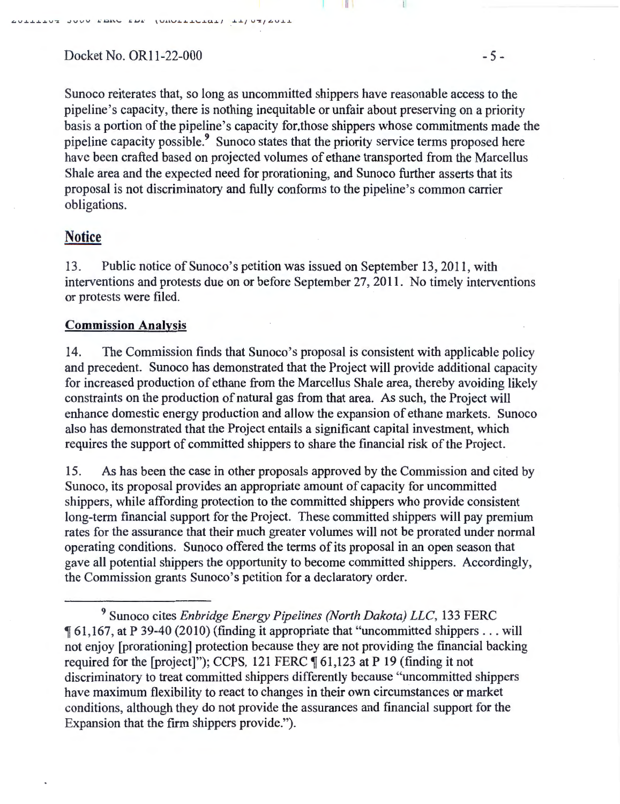**.L.V..L. ..L. ..L...L.V"'X .JVV <sup>U</sup>J •** ." ~J.\.\.... J.J·· VJ.J.V .L. .L.a..\...o.a..U.~ / *.a....Lf* V~f **.L.V.J...J..** 

Sunoco reiterates that, so long as uncommitted shippers have reasonable access to the pipeline's capacity, there is nothing inequitable or unfair about preserving on a priority basis a portion of the pipeline's capacity for.those shippers whose commitments made the pipeline capacity possible.<sup>9</sup> Sunoco states that the priority service terms proposed here have been crafted based on projected volumes of ethane transported from the Marcellus Shale area and the expected need for prorationing, and Sunoco further asserts that its proposal is not discriminatory and fully conforms to the pipeline's common carrier obligations.

# **Notice**

13. Public notice of Sunoco's petition was issued on September 13, 2011, with interventions and protests due on or before September 27, 2011. No timely interventions or protests were filed.

### **Commission Analysis**

14. The Commission finds that Sunoco's proposal is consistent with applicable policy and precedent. Sunoco has demonstrated that the Project will provide additional capacity for increased production of ethane from the Marcellus Shale area, thereby avoiding likely constraints on the production of natural gas from that area. As such, the Project will enhance domestic energy production and allow the expansion of ethane markets. Sunoco also has demonstrated that the Project entails a significant capital investment, which requires the support of committed shippers to share the financial risk of the Project.

15. As has been the case in other proposals approved by the Commission and cited by Sunoco, its proposal provides an appropriate amount of capacity for uncommitted shippers, while affording protection to the committed shippers who provide consistent long-term financial support for the Project. These committed shippers will pay premium rates for the assurance that their much greater volumes will not be prorated under normal operating conditions. Sunoco offered the terms of its proposal in an open season that gave all potential shippers the opportunity to become committed shippers. Accordingly, the Commission grants Sunoco's petition for a declaratory order.

<sup>9</sup> Sunoco cites *Enbridge Energy Pipelines (North Dakota) LLC,* 133 FERC <sup>~</sup>61 ,167, at P 39-40 (2010) (finding it appropriate that "uncommitted shippers . .. will not enjoy [prorationing] protection because they are not providing the financial backing required for the [project]"); CCPS, 121 FERC  $\P$  61,123 at P 19 (finding it not discriminatory to treat committed shippers differently because "uncommitted shippers have maximum flexibility to react to changes in their own circumstances or market conditions, although they do not provide the assurances and financial support for the Expansion that the firm shippers provide.").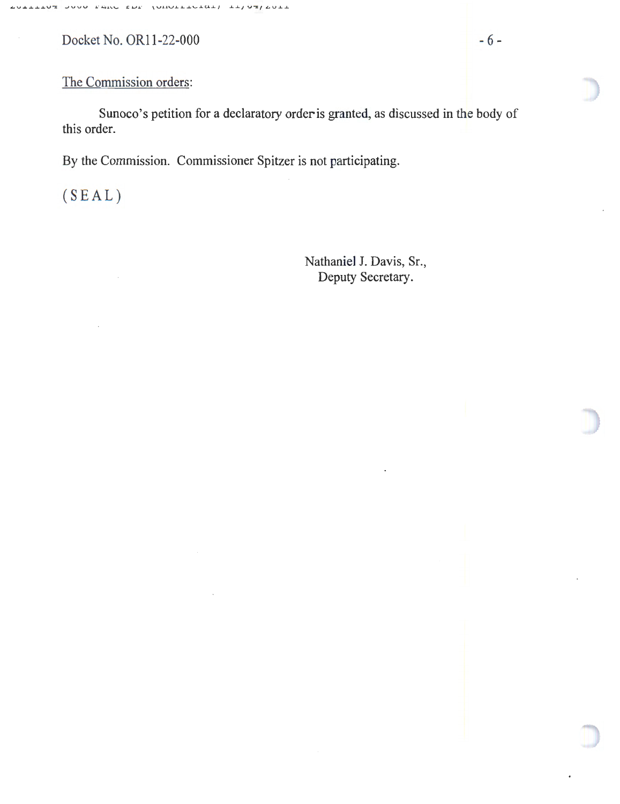Docket No. OR11-22-000 - 6 -

Sunoco's petition for a declaratory order is granted, as discussed in the body of this order.

By the Commission. Commissioner Spitzer is not participating.

(SEAL)

Nathaniel J. Davis, Sr., Deputy Secretary.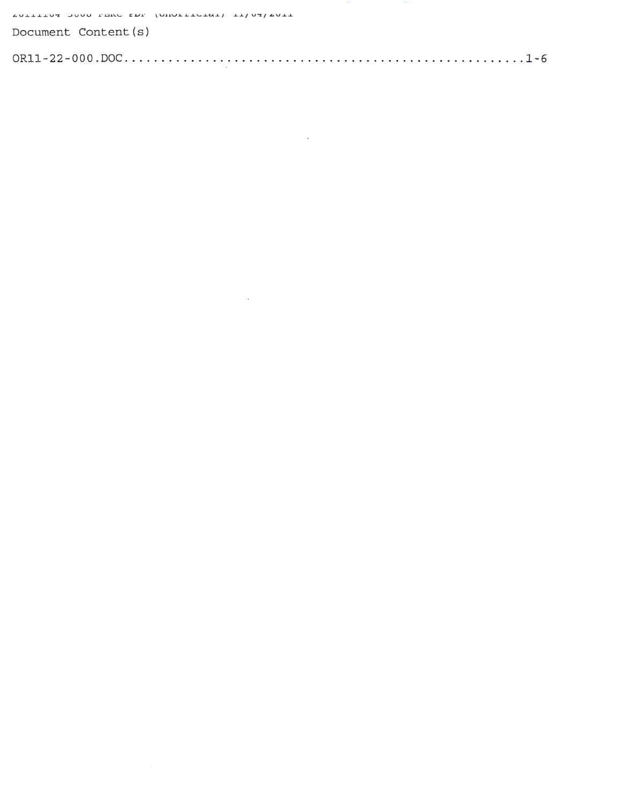AULLEDUS JOUD PERU EDP (OHOLLEDEAL) IT/US/AULL

| Document Content(s) |  |  |
|---------------------|--|--|
|                     |  |  |

 $\label{eq:2.1} \frac{1}{\sqrt{2}}\left(\frac{1}{\sqrt{2}}\right)^{2} \left(\frac{1}{\sqrt{2}}\right)^{2} \left(\frac{1}{\sqrt{2}}\right)^{2} \left(\frac{1}{\sqrt{2}}\right)^{2} \left(\frac{1}{\sqrt{2}}\right)^{2} \left(\frac{1}{\sqrt{2}}\right)^{2} \left(\frac{1}{\sqrt{2}}\right)^{2} \left(\frac{1}{\sqrt{2}}\right)^{2} \left(\frac{1}{\sqrt{2}}\right)^{2} \left(\frac{1}{\sqrt{2}}\right)^{2} \left(\frac{1}{\sqrt{2}}\right)^{2} \left(\$